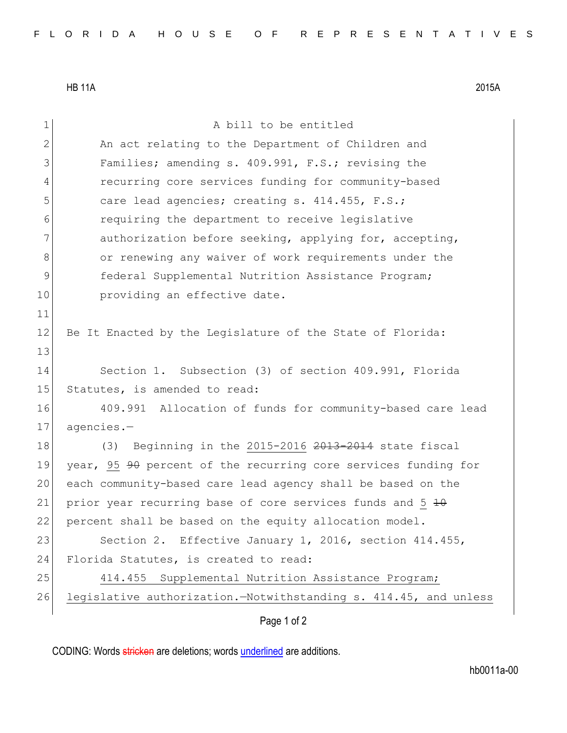HB 11A 2015A

11

13

1 a bill to be entitled 2 An act relating to the Department of Children and 3 Families; amending s. 409.991, F.S.; revising the 4 recurring core services funding for community-based 5 care lead agencies; creating s. 414.455, F.S.; 6 requiring the department to receive legislative 7 authorization before seeking, applying for, accepting, 8 or renewing any waiver of work requirements under the 9 **federal Supplemental Nutrition Assistance Program;** 10 **providing an effective date.** 12 Be It Enacted by the Legislature of the State of Florida: 14 Section 1. Subsection (3) of section 409.991, Florida 15 Statutes, is amended to read: 16 409.991 Allocation of funds for community-based care lead 17 agencies.-18 (3) Beginning in the 2015-2016 2013-2014 state fiscal 19 year, 95 <del>90</del> percent of the recurring core services funding for 20 each community-based care lead agency shall be based on the 21 prior year recurring base of core services funds and  $5\,40$ 22 percent shall be based on the equity allocation model. 23 Section 2. Effective January 1, 2016, section 414.455, 24 Florida Statutes, is created to read: 25 414.455 Supplemental Nutrition Assistance Program; 26 legislative authorization. Wotwithstanding s. 414.45, and unless

Page 1 of 2

CODING: Words stricken are deletions; words underlined are additions.

hb0011a-00